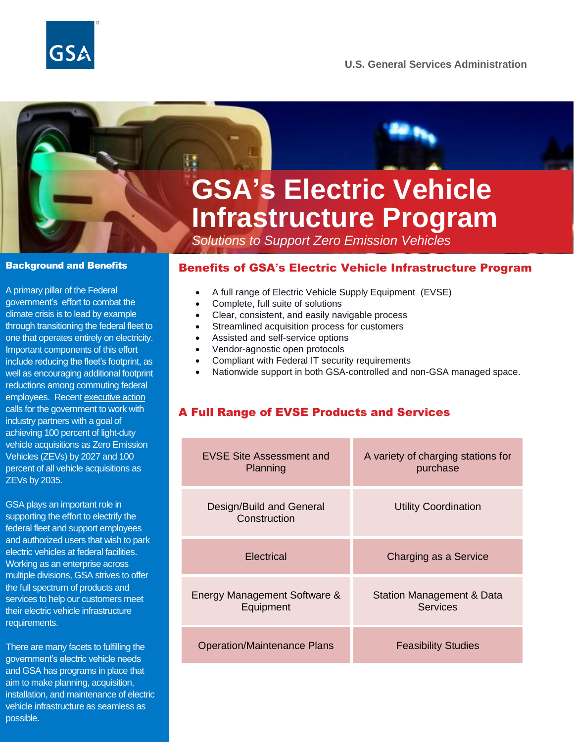

# **GSA's Electric Vehicle Infrastructure Program**

*Solutions to Support Zero Emission Vehicles*

#### Background and Benefits

A primary pillar of the Federal government's effort to combat the climate crisis is to lead by example through transitioning the federal fleet to one that operates entirely on electricity. Important components of this effort include reducing the fleet's footprint, as well as encouraging additional footprint reductions among commuting federal employees. Recen[t executive action](https://www.whitehouse.gov/briefing-room/presidential-actions/2021/12/08/executive-order-on-catalyzing-clean-energy-industries-and-jobs-through-federal-sustainability/) calls for the government to work with industry partners with a goal of achieving 100 percent of light-duty vehicle acquisitions as Zero Emission Vehicles (ZEVs) by 2027 and 100 percent of all vehicle acquisitions as ZEVs by 2035.

GSA plays an important role in supporting the effort to electrify the federal fleet and support employees and authorized users that wish to park electric vehicles at federal facilities. Working as an enterprise across multiple divisions, GSA strives to offer the full spectrum of products and services to help our customers meet their electric vehicle infrastructure requirements.

There are many facets to fulfilling the government's electric vehicle needs and GSA has programs in place that aim to make planning, acquisition, installation, and maintenance of electric vehicle infrastructure as seamless as possible.

#### Benefits of GSA**'**s Electric Vehicle Infrastructure Program

- A full range of Electric Vehicle Supply Equipment (EVSE)
- Complete, full suite of solutions
- Clear, consistent, and easily navigable process
- Streamlined acquisition process for customers
- Assisted and self-service options
- Vendor-agnostic open protocols
- Compliant with Federal IT security requirements
- Nationwide support in both GSA-controlled and non-GSA managed space.

# A Full Range of EVSE Products and Services

| <b>EVSE Site Assessment and</b><br>Planning | A variety of charging stations for<br>purchase |
|---------------------------------------------|------------------------------------------------|
| Design/Build and General<br>Construction    | <b>Utility Coordination</b>                    |
| Electrical                                  | Charging as a Service                          |
| Energy Management Software &<br>Equipment   | Station Management & Data<br>Services          |
| <b>Operation/Maintenance Plans</b>          | <b>Feasibility Studies</b>                     |